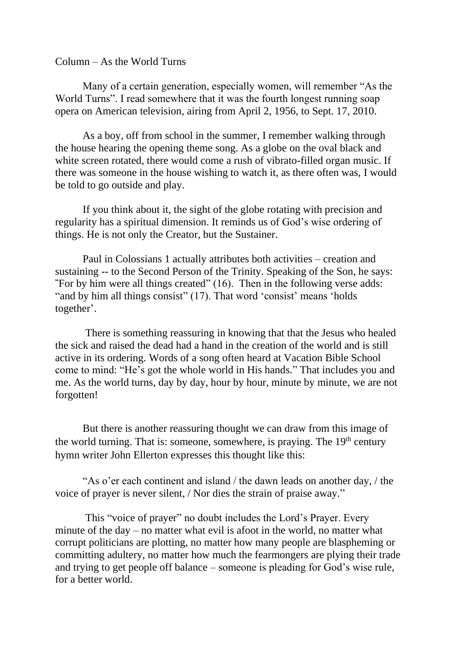## Column – As the World Turns

Many of a certain generation, especially women, will remember "As the World Turns". I read somewhere that it was the fourth longest running soap opera on American television, airing from April 2, 1956, to Sept. 17, 2010.

As a boy, off from school in the summer, I remember walking through the house hearing the opening theme song. As a globe on the oval black and white screen rotated, there would come a rush of vibrato-filled organ music. If there was someone in the house wishing to watch it, as there often was, I would be told to go outside and play.

If you think about it, the sight of the globe rotating with precision and regularity has a spiritual dimension. It reminds us of God's wise ordering of things. He is not only the Creator, but the Sustainer.

Paul in Colossians 1 actually attributes both activities – creation and sustaining -- to the Second Person of the Trinity. Speaking of the Son, he says: **"**For by him were all things created" (16). Then in the following verse adds: "and by him all things consist" (17). That word 'consist' means 'holds together'.

There is something reassuring in knowing that that the Jesus who healed the sick and raised the dead had a hand in the creation of the world and is still active in its ordering. Words of a song often heard at Vacation Bible School come to mind: "He's got the whole world in His hands." That includes you and me. As the world turns, day by day, hour by hour, minute by minute, we are not forgotten!

But there is another reassuring thought we can draw from this image of the world turning. That is: someone, somewhere, is praying. The  $19<sup>th</sup>$  century hymn writer John Ellerton expresses this thought like this:

"As o'er each continent and island / the dawn leads on another day, / the voice of prayer is never silent, / Nor dies the strain of praise away."

This "voice of prayer" no doubt includes the Lord's Prayer. Every minute of the day – no matter what evil is afoot in the world, no matter what corrupt politicians are plotting, no matter how many people are blaspheming or committing adultery, no matter how much the fearmongers are plying their trade and trying to get people off balance – someone is pleading for God's wise rule, for a better world.